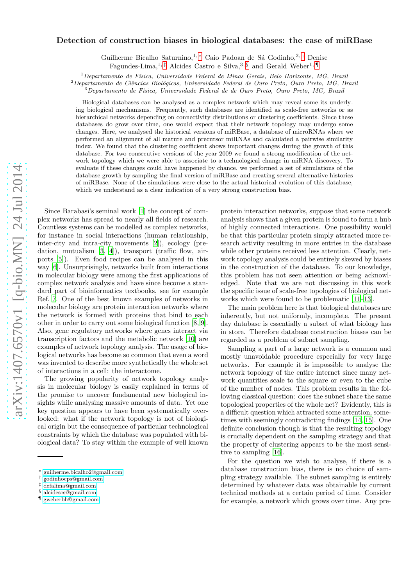# Detection of construction biases in biological databases: the case of miRBase

Guilherme Bicalho Saturnino,<sup>1,\*</sup> Caio Padoan de Sá Godinho,<sup>2,[†](#page-0-1)</sup> Denise

Fagundes-Lima,<sup>1,  $\ddagger$ </sup> Alcides Castro e Silva,<sup>3, [§](#page-0-3)</sup> and Gerald Weber<sup>1, [¶](#page-0-4)</sup>

 $1$ Departamento de Física, Universidade Federal de Minas Gerais, Belo Horizonte, MG, Brazil

 $2$ Departamento de Ciências Biológicas, Universidade Federal de Ouro Preto, Ouro Preto, MG, Brazil

 $3$ Departamento de Física, Universidade Federal de de Ouro Preto, Ouro Preto, MG, Brazil

Biological databases can be analysed as a complex network which may reveal some its underlying biological mechanisms. Frequently, such databases are identified as scale-free networks or as hierarchical networks depending on connectivity distributions or clustering coefficients. Since these databases do grow over time, one would expect that their network topology may undergo some changes. Here, we analysed the historical versions of miRBase, a database of microRNAs where we performed an alignment of all mature and precursor miRNAs and calculated a pairwise similarity index. We found that the clustering coefficient shows important changes during the growth of this database. For two consecutive versions of the year 2009 we found a strong modification of the network topology which we were able to associate to a technological change in miRNA discovery. To evaluate if these changes could have happened by chance, we performed a set of simulations of the database growth by sampling the final version of miRBase and creating several alternative histories of miRBase. None of the simulations were close to the actual historical evolution of this database, which we understand as a clear indication of a very strong construction bias.

Since Barabasi's seminal work [\[1\]](#page-7-0) the concept of complex networks has spread to nearly all fields of research. Countless systems can be modelled as complex networks, for instance in social interactions (human relationship, inter-city and intra-city movements [\[2](#page-7-1)]), ecology (predation, mutualism  $[3, 4]$  $[3, 4]$  $[3, 4]$ , transport (traffic flow, airports [\[5](#page-7-4)]). Even food recipes can be analysed in this way [\[6\]](#page-7-5). Unsurprisingly, networks built from interactions in molecular biology were among the first applications of complex network analysis and have since become a standard part of bioinformatics textbooks, see for example Ref. [7](#page-7-6). One of the best known examples of networks in molecular biology are protein interaction networks where the network is formed with proteins that bind to each other in order to carry out some biological function [\[8](#page-7-7), [9\]](#page-7-8). Also, gene regulatory networks where genes interact via transcription factors and the metabolic network [\[10\]](#page-7-9) are examples of network topology analysis. The usage of biological networks has become so common that even a word was invented to describe more synthetically the whole set of interactions in a cell: the interactome.

The growing popularity of network topology analysis in molecular biology is easily explained in terms of the promise to uncover fundamental new biological insights while analysing massive amounts of data. Yet one key question appears to have been systematically overlooked: what if the network topology is not of biological origin but the consequence of particular technological constraints by which the database was populated with biological data? To stay within the example of well known

protein interaction networks, suppose that some network analysis shows that a given protein is found to form a hub of highly connected interactions. One possibility would be that this particular protein simply attracted more research activity resulting in more entries in the database while other proteins received less attention. Clearly, network topology analysis could be entirely skewed by biases in the construction of the database. To our knowledge, this problem has not seen attention or being acknowledged. Note that we are not discussing in this work the specific issue of scale-free topologies of biological networks which were found to be problematic [\[11](#page-7-10)[–13](#page-7-11)].

The main problem here is that biological databases are inherently, but not uniformly, incomplete. The present day database is essentially a subset of what biology has in store. Therefore database construction biases can be regarded as a problem of subnet sampling.

Sampling a part of a large network is a common and mostly unavoidable procedure especially for very large networks. For example it is impossible to analyse the network topology of the entire internet since many network quantities scale to the square or even to the cube of the number of nodes. This problem results in the following classical question: does the subnet share the same topological properties of the whole net? Evidently, this is a difficult question which attracted some attention, sometimes with seemingly contradicting findings [\[14](#page-7-12), [15\]](#page-7-13). One definite conclusion though is that the resulting topology is crucially dependent on the sampling strategy and that the property of clustering appears to be the most sensitive to sampling [\[16\]](#page-7-14).

For the question we wish to analyse, if there is a database construction bias, there is no choice of sampling strategy available. The subnet sampling is entirely determined by whatever data was obtainable by current technical methods at a certain period of time. Consider for example, a network which grows over time. Any pre-

<span id="page-0-0"></span><sup>∗</sup> [guilherme.bicalho2@gmail.com](mailto:guilherme.bicalho2@gmail.com)

<span id="page-0-1"></span><sup>†</sup> [godinhocps@gmail.com](mailto:godinhocps@gmail.com)

<span id="page-0-2"></span><sup>‡</sup> [defalima@gmail.com](mailto:defalima@gmail.com)

<span id="page-0-3"></span><sup>§</sup> [alcidescs@gmail.com](mailto:alcidescs@gmail.com)

<span id="page-0-4"></span><sup>¶</sup> [gweberbh@gmail.com](mailto:gweberbh@gmail.com)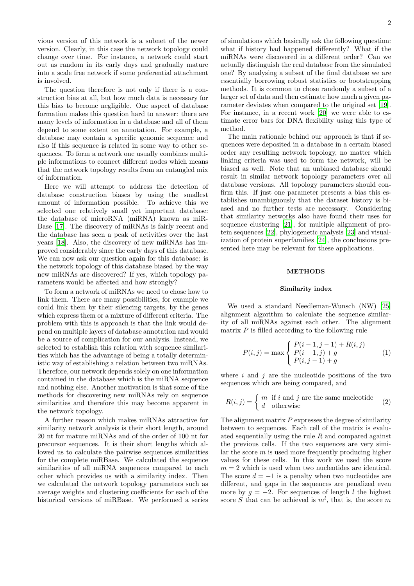vious version of this network is a subnet of the newer version. Clearly, in this case the network topology could change over time. For instance, a network could start out as random in its early days and gradually mature into a scale free network if some preferential attachment is involved.

The question therefore is not only if there is a construction bias at all, but how much data is necessary for this bias to become negligible. One aspect of database formation makes this question hard to answer: there are many levels of information in a database and all of them depend to some extent on annotation. For example, a database may contain a specific genomic sequence and also if this sequence is related in some way to other sequences. To form a network one usually combines multiple informations to connect different nodes which means that the network topology results from an entangled mix of information.

Here we will attempt to address the detection of database construction biases by using the smallest amount of information possible. To achieve this we selected one relatively small yet important database: the database of microRNA (miRNA) known as miR-Base [\[17\]](#page-7-15). The discovery of miRNAs is fairly recent and the database has seen a peak of activities over the last years [\[18\]](#page-7-16). Also, the discovery of new miRNAs has improved considerably since the early days of this database. We can now ask our question again for this database: is the network topology of this database biased by the way new miRNAs are discovered? If yes, which topology parameters would be affected and how strongly?

To form a network of miRNAs we need to chose how to link them. There are many possibilities, for example we could link them by their silencing targets, by the genes which express them or a mixture of different criteria. The problem with this is approach is that the link would depend on multiple layers of database annotation and would be a source of complication for our analysis. Instead, we selected to establish this relation with sequence similarities which has the advantage of being a totally deterministic way of establishing a relation between two miRNAs. Therefore, our network depends solely on one information contained in the database which is the miRNA sequence and nothing else. Another motivation is that some of the methods for discovering new miRNAs rely on sequence similarities and therefore this may become apparent in the network topology.

A further reason which makes miRNAs attractive for similarity network analysis is their short length, around 20 nt for mature miRNAs and of the order of 100 nt for precursor sequences. It is their short lengths which allowed us to calculate the pairwise sequences similarities for the complete miRBase. We calculated the sequence similarities of all miRNA sequences compared to each other which provides us with a similarity index. Then we calculated the network topology parameters such as average weights and clustering coefficients for each of the historical versions of miRBase. We performed a series of simulations which basically ask the following question: what if history had happened differently? What if the miRNAs were discovered in a different order? Can we actually distinguish the real database from the simulated one? By analysing a subset of the final database we are essentially borrowing robust statistics or bootstrapping methods. It is common to chose randomly a subset of a larger set of data and then estimate how much a given parameter deviates when compared to the original set [\[19\]](#page-7-17). For instance, in a recent work [\[20\]](#page-7-18) we were able to estimate error bars for DNA flexibility using this type of method.

The main rationale behind our approach is that if sequences were deposited in a database in a certain biased order any resulting network topology, no matter which linking criteria was used to form the network, will be biased as well. Note that an unbiased database should result in similar network topology parameters over all database versions. All topology parameters should confirm this. If just one parameter presents a bias this establishes unambiguously that the dataset history is biased and no further tests are necessary. Considering that similarity networks also have found their uses for sequence clustering [\[21\]](#page-7-19), for multiple alignment of protein sequences [\[22\]](#page-7-20), phylogenetic analysis [\[23](#page-7-21)] and visualization of protein superfamilies [\[24](#page-7-22)], the conclusions presented here may be relevant for these applications.

## **METHODS**

### Similarity index

We used a standard Needleman-Wunsch (NW) [\[25](#page-8-0)] alignment algorithm to calculate the sequence similarity of all miRNAs against each other. The alignment matrix  $P$  is filled according to the following rule

<span id="page-1-0"></span>
$$
P(i,j) = \max \begin{cases} P(i-1,j-1) + R(i,j) \\ P(i-1,j) + g \\ P(i,j-1) + g \end{cases}
$$
 (1)

where  $i$  and  $j$  are the nucleotide positions of the two sequences which are being compared, and

$$
R(i,j) = \begin{cases} m & \text{if } i \text{ and } j \text{ are the same nucleotide} \\ d & \text{otherwise} \end{cases}
$$
 (2)

The alignment matrix  $P$  expresses the degree of similarity between to sequences. Each cell of the matrix is evaluated sequentially using the rule  $R$  and compared against the previous cells. If the two sequences are very similar the score m is used more frequently producing higher values for these cells. In this work we used the score  $m = 2$  which is used when two nucleotides are identical. The score  $d = -1$  is a penalty when two nucleotides are different, and gaps in the sequences are penalized even more by  $q = -2$ . For sequences of length l the highest score S that can be achieved is  $m^l$ , that is, the score m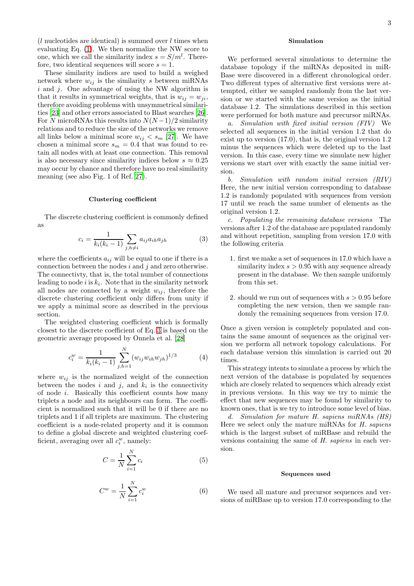$(l$  nucleotides are identical) is summed over  $l$  times when evaluating Eq. [\(1\)](#page-1-0). We then normalize the NW score to one, which we call the similarity index  $s = S/m^l$ . Therefore, two identical sequences will score  $s = 1$ .

These similarity indices are used to build a weighed network where  $w_{ij}$  is the similarity s between miRNAs  $i$  and  $j$ . One advantage of using the NW algorithm is that it results in symmetrical weights, that is  $w_{ij} = w_{ji}$ , therefore avoiding problems with unsymmetrical similarities [\[23](#page-7-21)] and other errors associated to Blast searches [\[26\]](#page-8-1). For N microRNAs this results into  $N(N-1)/2$  similarity relations and to reduce the size of the networks we remove all links below a minimal score  $w_{ij} < s_m$  [\[27\]](#page-8-2). We have chosen a minimal score  $s_m = 0.4$  that was found to retain all nodes with at least one connection. This removal is also necessary since similarity indices below  $s \approx 0.25$ may occur by chance and therefore have no real similarity meaning (see also Fig. 1 of Ref. [27\)](#page-8-2).

### Clustering coefficient

The discrete clustering coefficient is commonly defined as

<span id="page-2-0"></span>
$$
c_i = \frac{1}{k_i(k_i - 1)} \sum_{j, h \neq i} a_{ij} a_{ih} a_{jh}
$$
 (3)

where the coefficients  $a_{ij}$  will be equal to one if there is a connection between the nodes  $i$  and  $j$  and zero otherwise. The connectivty, that is, the total number of connections leading to node *i* is  $k_i$ . Note that in the similarity network all nodes are connected by a weight  $w_{ij}$ , therefore the discrete clustering coefficient only differs from unity if we apply a minimal score as described in the previous section.

The weighted clustering coefficient which is formally closest to the discrete coefficient of Eq. [3](#page-2-0) is based on the geometric average proposed by Onnela et al. [\[28\]](#page-8-3)

$$
c_i^w = \frac{1}{k_i(k_i - 1)} \sum_{j,h=1}^N (w_{ij} w_{ih} w_{jh})^{1/3}
$$
 (4)

where  $w_{ij}$  is the normalized weight of the connection between the nodes  $i$  and  $j$ , and  $k_i$  is the connectivity of node i. Basically this coefficient counts how many triplets a node and its neighbours can form. The coefficient is normalized such that it will be 0 if there are no triplets and 1 if all triplets are maximum. The clustering coefficient is a node-related property and it is common to define a global discrete and weighted clustering coefficient, averaging over all  $c_i^w$ , namely:

$$
C = \frac{1}{N} \sum_{i=1}^{N} c_i
$$
\n<sup>(5)</sup>

$$
C^w = \frac{1}{N} \sum_{i=1}^{N} c_i^w
$$
 (6)

# Simulation

We performed several simulations to determine the database topology if the miRNAs deposited in miR-Base were discovered in a different chronological order. Two different types of alternative first versions were attempted, either we sampled randomly from the last version or we started with the same version as the initial database 1.2. The simulations described in this section were performed for both mature and precursor miRNAs.

a. Simulation with fixed initial version (FIV) We selected all sequences in the initial version 1.2 that do exist up to version (17.0), that is, the original version 1.2 minus the sequences which were deleted up to the last version. In this case, every time we simulate new higher versions we start over with exactly the same initial version.

b. Simulation with random initial version (RIV) Here, the new initial version corresponding to database 1.2 is randomly populated with sequences from version 17 until we reach the same number of elements as the original version 1.2.

c. Populating the remaining database versions The versions after 1.2 of the database are populated randomly and without repetition, sampling from version 17.0 with the following criteria

- 1. first we make a set of sequences in 17.0 which have a similarity index  $s > 0.95$  with any sequence already present in the database. We then sample uniformly from this set.
- 2. should we run out of sequences with  $s > 0.95$  before completing the new version, then we sample randomly the remaining sequences from version 17.0.

Once a given version is completely populated and contains the same amount of sequences as the original version we perform all network topology calculations. For each database version this simulation is carried out 20 times.

This strategy intents to simulate a process by which the next version of the database is populated by sequences which are closely related to sequences which already exist in previous versions. In this way we try to mimic the effect that new sequences may be found by similarity to known ones, that is we try to introduce some level of bias.

d. Simulation for mature H. sapiens miRNAs (HS) Here we select only the mature miRNAs for H. sapiens which is the largest subset of miRBase and rebuild the versions containing the same of H. sapiens in each version.

#### Sequences used

We used all mature and precursor sequences and versions of miRBase up to version 17.0 corresponding to the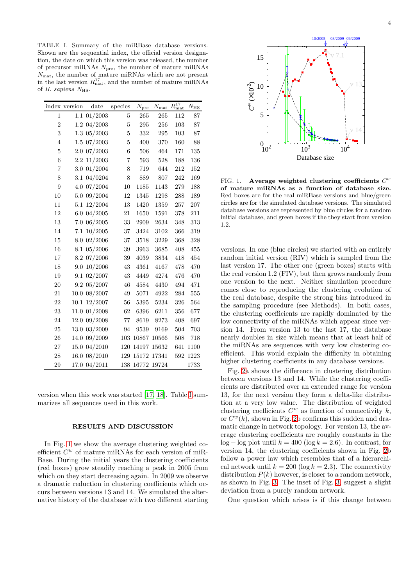<span id="page-3-0"></span>TABLE I. Summary of the miRBase database versions. Shown are the sequential index, the official version designation, the date on which this version was released, the number of precursor miRNAs  $N_{\text{pre}}$ , the number of mature miRNAs Nmat, the number of mature miRNAs which are not present in the last version  $R_{\text{mat}}^{17}$ , and the number of mature miRNAs of  $H.$  sapiens  $N_{\rm HS}$ .

|                         | index version | date              | species                 | $N_{\rm pre}$ | $N_{\rm mat}$ | $R_{\rm mat}^{17}$ | $N_{\rm HS}$ |
|-------------------------|---------------|-------------------|-------------------------|---------------|---------------|--------------------|--------------|
| $\mathbf{1}$            | 1.1           | 01/2003           | 5                       | 265           | 265           | 112                | 87           |
| $\overline{2}$          |               | 1.2 04/2003       | 5                       | 295           | 256           | 103                | 87           |
| 3                       |               | $1.3 \ \ 05/2003$ | $\overline{5}$          | 332           | 295           | 103                | 87           |
| $\overline{4}$          | 1.5           | 07/2003           | $\overline{5}$          | 400           | 370           | 160                | 88           |
| $\overline{5}$          | 2.0           | 07/2003           | $\overline{6}$          | 506           | 464           | 171                | 135          |
| $\boldsymbol{6}$        | 2.2           | 11/2003           | $\overline{\mathbf{7}}$ | 593           | 528           | 188                | 136          |
| $\overline{\mathbf{7}}$ | 3.0           | 01/2004           | 8                       | 719           | 644           | 212                | 152          |
| 8                       | 3.1           | 04/0204           | 8                       | 889           | 807           | 242                | 169          |
| 9                       | 4.0           | 07/2004           | 10                      | 1185          | 1143          | 279                | 188          |
| 10                      | 5.0           | 09/2004           | 12                      | 1345          | 1298          | 288                | 189          |
| 11                      | 5.1           | 12/2004           | 13                      | 1420          | 1359          | 257                | 207          |
| 12                      | 6.0           | 04/2005           | 21                      | 1650          | 1591          | 378                | 211          |
| 13                      | 7.0           | 06/2005           | 33                      | 2909          | 2634          | 348                | 313          |
| 14                      | 7.1           | 10/2005           | 37                      | 3424          | 3102          | 366                | 319          |
| 15                      | 8.0           | 02/2006           | 37                      | 3518          | 3229          | 368                | 328          |
| 16                      | 8.1           | 05/2006           | 39                      | 3963          | 3685          | 408                | 455          |
| 17                      | 8.2           | 07/2006           | 39                      | 4039          | 3834          | 418                | 454          |
| 18                      | 9.0           | 10/2006           | 43                      | 4361          | 4167          | 478                | 470          |
| 19                      | 9.1           | 02/2007           | 43                      | 4449          | 4274          | 476                | 470          |
| 20                      | 9.2           | 05/2007           | 46                      | 4584          | 4430          | 494                | 471          |
| 21                      | 10.0          | 08/2007           | 49                      | 5071          | 4922          | 284                | 555          |
| 22                      | 10.1          | 12/2007           | 56                      | 5395          | 5234          | 326                | 564          |
| 23                      | 11.0          | 01/2008           | 62                      | 6396          | 6211          | 356                | 677          |
| 24                      | 12.0          | 09/2008           | 77                      | 8619          | 8273          | 408                | 697          |
| 25                      | 13.0          | 03/2009           | 94                      | 9539          | 9169          | 504                | 703          |
| 26                      | 14.0          | 09/2009           | 103                     | 10867         | 10566         | 508                | 718          |
| 27                      | 15.0          | 04/2010           | 120                     | 14197         | 15632         | 641                | 1100         |
| 28                      | 16.0          | 08/2010           | 129                     | 15172         | 17341         | 592                | 1223         |
| 29                      | 17.0          | 04/2011           | 138                     | 16772         | 19724         |                    | 1733         |

version when this work was started [\[17,](#page-7-15) [18](#page-7-16)]. Table [I](#page-3-0) summarizes all sequences used in this work.

## RESULTS AND DISCUSSION

In Fig. [1](#page-3-1) we show the average clustering weighted coefficient  $C^w$  of mature miRNAs for each version of miR-Base. During the initial years the clustering coefficients (red boxes) grow steadily reaching a peak in 2005 from which on they start decreasing again. In 2009 we observe a dramatic reduction in clustering coefficients which occurs between versions 13 and 14. We simulated the alternative history of the database with two different starting



<span id="page-3-1"></span>FIG. 1. Average weighted clustering coefficients  $C^w$ of mature miRNAs as a function of database size. Red boxes are for the real miRBase versions and blue/green circles are for the simulated database versions. The simulated database versions are represented by blue circles for a random initial database, and green boxes if the they start from version 1.2.

versions. In one (blue circles) we started with an entirely random initial version (RIV) which is sampled from the last version 17. The other one (green boxes) starts with the real version 1.2 (FIV), but then grows randomly from one version to the next. Neither simulation procedure comes close to reproducing the clustering evolution of the real database, despite the strong bias introduced in the sampling procedure (see Methods). In both cases, the clustering coefficients are rapidly dominated by the low connectivity of the miRNAs which appear since version 14. From version 13 to the last 17, the database nearly doubles in size which means that at least half of the miRNAs are sequences with very low clustering coefficient. This would explain the difficulty in obtaining higher clustering coefficients in any database versions.

Fig. [2a](#page-4-0) shows the difference in clustering distribution between versions 13 and 14. While the clustering coefficients are distributed over an extended range for version 13, for the next version they form a delta-like distribution at a very low value. The distribution of weighted clustering coefficients  $C^w$  as function of connectivity  $k$ , or  $C^w(k)$ , shown in Fig. [2b](#page-4-0) confirms this sudden and dramatic change in network topology. For version 13, the average clustering coefficients are roughly constants in the  $log - log$  plot until  $k = 400$  (log  $k = 2.6$ ). In contrast, for version 14, the clustering coefficients shown in Fig. [2b](#page-4-0) follow a power law which resembles that of a hierarchical network until  $k = 200$  (log  $k = 2.3$ ). The connectivity distribution  $P(k)$  however, is closer to a random network, as shown in Fig. [3.](#page-4-1) The inset of Fig. [3,](#page-4-1) suggest a slight deviation from a purely random network.

One question which arises is if this change between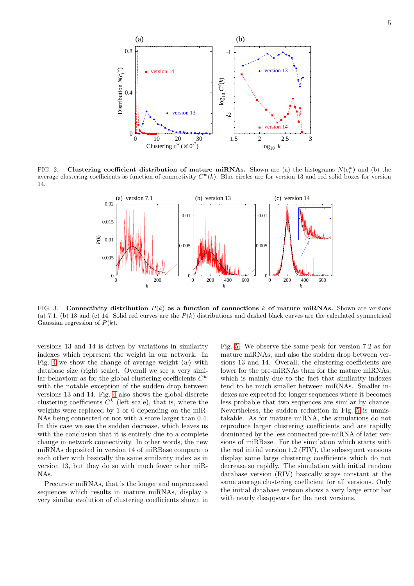

<span id="page-4-0"></span>FIG. 2. Clustering coefficient distribution of mature miRNAs. Shown are (a) the histograms  $N(c_i^w)$  and (b) the average clustering coefficients as function of connectivity  $C^w(k)$ . Blue circles are for version 13 and red solid boxes for version 14.



<span id="page-4-1"></span>FIG. 3. Connectivity distribution  $P(k)$  as a function of connections k of mature miRNAs. Shown are versions (a) 7.1, (b) 13 and (c) 14. Solid red curves are the  $P(k)$  distributions and dashed black curves are the calculated symmetrical Gaussian regression of  $P(k)$ .

versions 13 and 14 is driven by variations in similarity indexes which represent the weight in our network. In Fig. [4](#page-5-0) we show the change of average weight  $\langle w \rangle$  with database size (right scale). Overall we see a very similar behaviour as for the global clustering coefficients  $C^w$ with the notable exception of the sudden drop between versions 13 and 14. Fig. [4](#page-5-0) also shows the global discrete clustering coefficients  $C^k$  (left scale), that is, where the weights were replaced by 1 or 0 depending on the miR-NAs being connected or not with a score larger than 0.4. In this case we see the sudden decrease, which leaves us with the conclusion that it is entirely due to a complete change in network connectivity. In other words, the new miRNAs deposited in version 14 of miRBase compare to each other with basically the same similarity index as in version 13, but they do so with much fewer other miR-NAs.

Precursor miRNAs, that is the longer and unprocessed sequences which results in mature miRNAs, display a very similar evolution of clustering coefficients shown in Fig. [5.](#page-5-1) We observe the same peak for version 7.2 as for mature miRNAs, and also the sudden drop between versions 13 and 14. Overall, the clustering coefficients are lower for the pre-miRNAs than for the mature miRNAs, which is mainly due to the fact that similarity indexes tend to be much smaller between miRNAs. Smaller indexes are expected for longer sequences where it becomes less probable that two sequences are similar by chance. Nevertheless, the sudden reduction in Fig. [5](#page-5-1) is unmistakable. As for mature miRNA, the simulations do not reproduce larger clustering coefficients and are rapidly dominated by the less connected pre-miRNA of later versions of miRBase. For the simulation which starts with the real initial version 1.2 (FIV), the subsequent versions display some large clustering coefficients which do not decrease so rapidly. The simulation with initial random database version (RIV) basically stays constant at the same average clustering coefficient for all versions. Only the initial database version shows a very large error bar with nearly disappears for the next versions.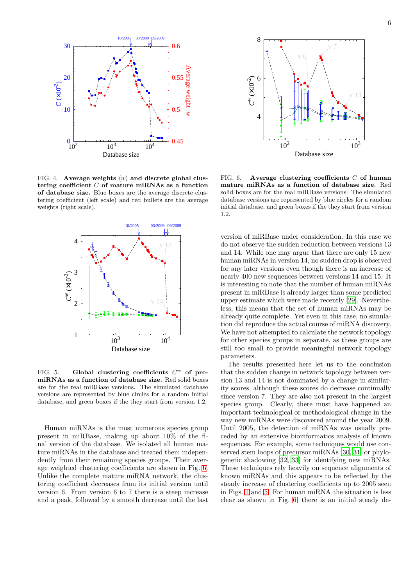

<span id="page-5-0"></span>FIG. 4. Average weights  $\langle w \rangle$  and discrete global clustering coefficient  $C$  of mature miRNAs as a function of database size. Blue boxes are the average discrete clustering coefficient (left scale) and red bullets are the average weights (right scale).



<span id="page-5-1"></span>FIG. 5. Global clustering coefficients  $C^w$  of premiRNAs as a function of database size. Red solid boxes are for the real miRBase versions. The simulated database versions are represented by blue circles for a random initial database, and green boxes if the they start from version 1.2.

Human miRNAs is the most numerous species group present in miRBase, making up about 10% of the final version of the database. We isolated all human mature miRNAs in the database and treated them independently from their remaining species groups. Their average weighted clustering coefficients are shown in Fig. [6.](#page-5-2) Unlike the complete mature miRNA network, the clustering coefficient decreases from its initial version until version 6. From version 6 to 7 there is a steep increase and a peak, followed by a smooth decrease until the last



<span id="page-5-2"></span>FIG. 6. Average clustering coefficients  $C$  of human mature miRNAs as a function of database size. Red solid boxes are for the real miRBase versions. The simulated database versions are represented by blue circles for a random initial database, and green boxes if the they start from version 1.2.

version of miRBase under consideration. In this case we do not observe the sudden reduction between versions 13 and 14. While one may argue that there are only 15 new human miRNAs in version 14, no sudden drop is observed for any later versions even though there is an increase of nearly 400 new sequences between versions 14 and 15. It is interesting to note that the number of human miRNAs present in miRBase is already larger than some predicted upper estimate which were made recently [\[29\]](#page-8-4). Nevertheless, this means that the set of human miRNAs may be already quite complete. Yet even in this case, no simulation did reproduce the actual course of miRNA discovery. We have not attempted to calculate the network topology for other species groups in separate, as these groups are still too small to provide meaningful network topology parameters.

The results presented here let us to the conclusion that the sudden change in network topology between version 13 and 14 is not dominated by a change in similarity scores, although these scores do decrease continually since version 7. They are also not present in the largest species group. Clearly, there must have happened an important technological or methodological change in the way new miRNAs were discovered around the year 2009. Until 2005, the detection of miRNAs was usually preceded by an extensive bioinformatics analysis of known sequences. For example, some techniques would use conserved stem loops of precursor miRNAs [\[30](#page-8-5), [31\]](#page-8-6) or phylogenetic shadowing [\[32,](#page-8-7) [33](#page-8-8)] for identifying new miRNAs. These techniques rely heavily on sequence alignments of known miRNAs and this appears to be reflected by the steady increase of clustering coefficients up to 2005 seen in Figs. [1](#page-3-1) and [5.](#page-5-1) For human miRNA the situation is less clear as shown in Fig. [6,](#page-5-2) there is an initial steady de-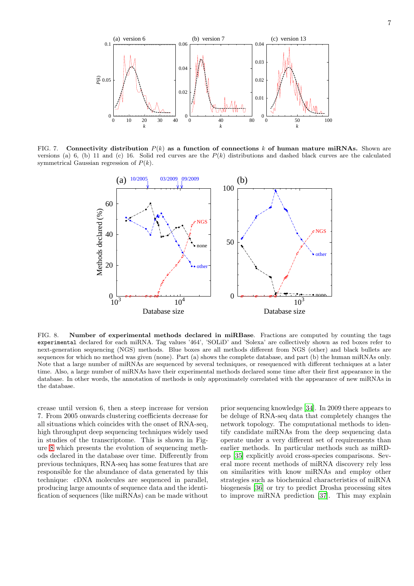

FIG. 7. Connectivity distribution  $P(k)$  as a function of connections k of human mature miRNAs. Shown are versions (a) 6, (b) 11 and (c) 16. Solid red curves are the  $P(k)$  distributions and dashed black curves are the calculated symmetrical Gaussian regression of  $P(k)$ .



<span id="page-6-0"></span>FIG. 8. Number of experimental methods declared in miRBase. Fractions are computed by counting the tags experimental declared for each miRNA. Tag values '464', 'SOLiD' and 'Solexa' are collectively shown as red boxes refer to next-generation sequencing (NGS) methods. Blue boxes are all methods different from NGS (other) and black bullets are sequences for which no method was given (none). Part (a) shows the complete database, and part (b) the human miRNAs only. Note that a large number of miRNAs are sequenced by several techniques, or resequenced with different techniques at a later time. Also, a large number of miRNAs have their experimental methods declared some time after their first appearance in the database. In other words, the annotation of methods is only approximately correlated with the appearance of new miRNAs in the database.

crease until version 6, then a steep increase for version 7. From 2005 onwards clustering coefficients decrease for all situations which coincides with the onset of RNA-seq, high throughput deep sequencing techniques widely used in studies of the transcriptome. This is shown in Figure [8](#page-6-0) which presents the evolution of sequencing methods declared in the database over time. Differently from previous techniques, RNA-seq has some features that are responsible for the abundance of data generated by this technique: cDNA molecules are sequenced in parallel, producing large amounts of sequence data and the identification of sequences (like miRNAs) can be made without prior sequencing knowledge [\[34\]](#page-8-9). In 2009 there appears to be deluge of RNA-seq data that completely changes the network topology. The computational methods to identify candidate miRNAs from the deep sequencing data operate under a very different set of requirements than earlier methods. In particular methods such as miRDeep [\[35\]](#page-8-10) explicitly avoid cross-species comparisons. Several more recent methods of miRNA discovery rely less on similarities with know miRNAs and employ other strategies such as biochemical characteristics of miRNA biogenesis [\[36\]](#page-8-11) or try to predict Drosha processing sites to improve miRNA prediction [\[37](#page-8-12)]. This may explain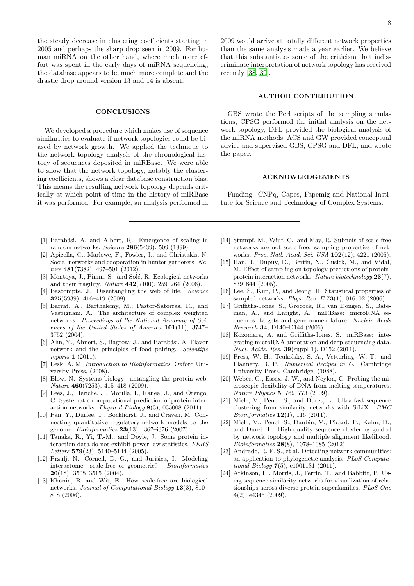the steady decrease in clustering coefficients starting in 2005 and perhaps the sharp drop seen in 2009. For human miRNA on the other hand, where much more effort was spent in the early days of miRNA sequencing, the database appears to be much more complete and the drastic drop around version 13 and 14 is absent.

## **CONCLUSIONS**

We developed a procedure which makes use of sequence similarities to evaluate if network topologies could be biased by network growth. We applied the technique to the network topology analysis of the chronological history of sequences deposited in miRBase. We were able to show that the network topology, notably the clustering coefficients, shows a clear database construction bias. This means the resulting network topology depends critically at which point of time in the history of miRBase it was performed. For example, an analysis performed in 2009 would arrive at totally different network properties than the same analysis made a year earlier. We believe that this substantiates some of the criticism that indiscriminate interpretation of network topology has received recently [\[38,](#page-8-13) [39\]](#page-8-14).

# AUTHOR CONTRIBUTION

GBS wrote the Perl scripts of the sampling simulations, CPSG performed the initial analysis on the network topology, DFL provided the biological analysis of the miRNA methods, ACS and GW provided conceptual advice and supervised GBS, CPSG and DFL, and wrote the paper.

#### ACKNOWLEDGEMENTS

Funding: CNPq, Capes, Fapemig and National Institute for Science and Technology of Complex Systems.

- <span id="page-7-0"></span>[1] Barabási, A. and Albert, R. Emergence of scaling in random networks. Science 286(5439), 509 (1999).
- <span id="page-7-1"></span>[2] Apicella, C., Marlowe, F., Fowler, J., and Christakis, N. Social networks and cooperation in hunter-gatherers. Nature 481(7382), 497–501 (2012).
- <span id="page-7-2"></span>[3] Montoya, J., Pimm, S., and Solé, R. Ecological networks and their fragility. Nature 442(7100), 259–264 (2006).
- <span id="page-7-3"></span>[4] Bascompte, J. Disentangling the web of life. Science 325(5939), 416–419 (2009).
- <span id="page-7-4"></span>[5] Barrat, A., Barthelemy, M., Pastor-Satorras, R., and Vespignani, A. The architecture of complex weighted networks. Proceedings of the National Academy of Sciences of the United States of America 101(11), 3747– 3752 (2004).
- <span id="page-7-5"></span>[6] Ahn, Y., Ahnert, S., Bagrow, J., and Barabási, A. Flavor network and the principles of food pairing. Scientific reports 1 (2011).
- <span id="page-7-6"></span>[7] Lesk, A. M. *Introduction to Bioinformatics*. Oxford University Press, (2008).
- <span id="page-7-7"></span>[8] Blow, N. Systems biology: untangling the protein web. Nature 460(7253), 415–418 (2009).
- <span id="page-7-8"></span>[9] Lees, J., Heriche, J., Morilla, I., Ranea, J., and Orengo, C. Systematic computational prediction of protein interaction networks. Physical Biology 8(3), 035008 (2011).
- <span id="page-7-9"></span>[10] Pan, Y., Durfee, T., Bockhorst, J., and Craven, M. Connecting quantitative regulatory-network models to the genome. Bioinformatics 23(13), i367–i376 (2007).
- <span id="page-7-10"></span>[11] Tanaka, R., Yi, T.-M., and Doyle, J. Some protein interaction data do not exhibit power law statistics. FEBS Letters  $579(23)$ ,  $5140-5144$  (2005).
- [12] Pržulj, N., Corneil, D. G., and Jurisica, I. Modeling interactome: scale-free or geometric? Bioinformatics **20**(18), 3508-3515 (2004).
- <span id="page-7-11"></span>[13] Khanin, R. and Wit, E. How scale-free are biological networks. Journal of Computational Biology 13(3), 810– 818 (2006).
- <span id="page-7-12"></span>[14] Stumpf, M., Wiuf, C., and May, R. Subnets of scale-free networks are not scale-free: sampling properties of networks. Proc. Natl. Acad. Sci. USA 102(12), 4221 (2005).
- <span id="page-7-13"></span>[15] Han, J., Dupuy, D., Bertin, N., Cusick, M., and Vidal, M. Effect of sampling on topology predictions of proteinprotein interaction networks. Nature biotechnology 23(7), 839–844 (2005).
- <span id="page-7-14"></span>[16] Lee, S., Kim, P., and Jeong, H. Statistical properties of sampled networks. *Phys. Rev. E* **73**(1), 016102 (2006).
- <span id="page-7-15"></span>[17] Griffiths-Jones, S., Grocock, R., van Dongen, S., Bateman, A., and Enright, A. miRBase: microRNA sequences, targets and gene nomenclature. Nucleic Acids Research 34, D140–D144 (2006).
- <span id="page-7-16"></span>[18] Kozomara, A. and Griffiths-Jones, S. miRBase: integrating microRNA annotation and deep-sequencing data. Nucl. Acids. Res. 39(suppl 1), D152 (2011).
- <span id="page-7-17"></span>[19] Press, W. H., Teukolsky, S. A., Vetterling, W. T., and Flannery, B. P. Numerical Recipes in C. Cambridge University Press, Cambridge, (1988).
- <span id="page-7-18"></span>[20] Weber, G., Essex, J. W., and Neylon, C. Probing the microscopic flexibility of DNA from melting temperatures. Nature Physics 5, 769–773 (2009).
- <span id="page-7-19"></span>[21] Miele, V., Penel, S., and Duret, L. Ultra-fast sequence clustering from similarity networks with SiLiX. BMC Bioinformatics 12(1), 116 (2011).
- <span id="page-7-20"></span>[22] Miele, V., Penel, S., Daubin, V., Picard, F., Kahn, D., and Duret, L. High-quality sequence clustering guided by network topology and multiple alignment likelihood. Bioinformatics 28(8), 1078–1085 (2012).
- <span id="page-7-21"></span>[23] Andrade, R. F. S., et al. Detecting network communities: an application to phylogenetic analysis. PLoS Computational Biology 7(5), e1001131 (2011).
- <span id="page-7-22"></span>[24] Atkinson, H., Morris, J., Ferrin, T., and Babbitt, P. Using sequence similarity networks for visualization of relationships across diverse protein superfamilies. PLoS One  $4(2)$ , e $4345$  (2009).